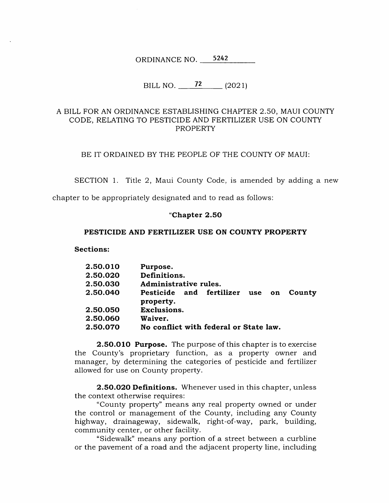ORDINANCE NO. 5242

# BILL NO.  $\frac{72}{(2021)}$

## A BILL FOR AN ORDINANCE ESTABLISHING CHAPTER 2.50, MAUI COUNTY CODE, RELATING TO PESTICIDE AND FERTILIZER USE ON COUNTY PROPERTY

BE IT ORDAINED BY THE PEOPLE OF THE COUNTY OF MAUI:

SECTION 1. Title 2, Maui County Code, is amended by adding a new

chapter to be appropriately designated and to read as follows:

### Chapter 2.50

### PESTICIDE AND FERTILIZER USE ON COUNTY PROPERTY

Sections:

| 2.50.010 | Purpose.                                                  |  |  |  |  |  |  |  |  |
|----------|-----------------------------------------------------------|--|--|--|--|--|--|--|--|
| 2.50.020 | Definitions.                                              |  |  |  |  |  |  |  |  |
| 2.50.030 | Administrative rules.                                     |  |  |  |  |  |  |  |  |
| 2.50.040 | Pesticide and fertilizer<br>County<br>use on<br>property. |  |  |  |  |  |  |  |  |
| 2.50.050 | <b>Exclusions.</b>                                        |  |  |  |  |  |  |  |  |
| 2.50.060 | Waiver.                                                   |  |  |  |  |  |  |  |  |
| 2.50.070 | No conflict with federal or State law.                    |  |  |  |  |  |  |  |  |
|          |                                                           |  |  |  |  |  |  |  |  |

**2.50.010 Purpose.** The purpose of this chapter is to exercise the County's proprietary function, as a property owner and manager, by determining the categories of pesticide and fertilizer allowed for use on County property.

2.50.020 Definitions. Whenever used in this chapter, unless the context otherwise requires:

"County property" means any real property owned or under the control or management of the County, including any County highway, drainageway, sidewalk, right-of-way, park, building, community center, or other facility.

"Sidewalk" means any portion of a street between a curbline or the pavement of a road and the adjacent property line, including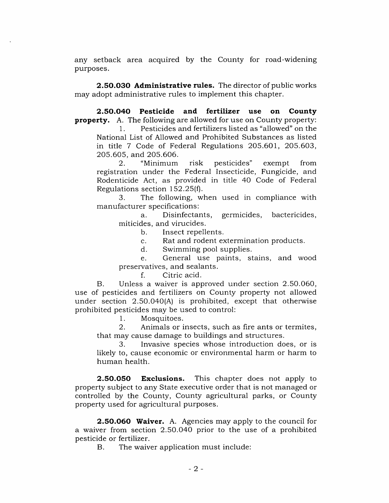any setback area acquired by the County for road-widening purposes.

2.50.030 Administrative rules. The director of public works may adopt administrative rules to implement this chapter.

2.50.040 Pesticide and fertilizer use on County **property.** A. The following are allowed for use on County property:

Pesticides and fertilizers listed as "allowed" on the National List of Allowed and Prohibited Substances as listed 1. in title 7 Code of Federal Regulations 205.601, 205.603, 205.605, and 205.606.<br>2. "Minimum

Minimum risk pesticides" exempt from registration under the Federal Insecticide, Fungicide, and Rodenticide Act, as provided in title 40 Code of Federal Regulations section  $152.25(f)$ .<br>3. The following. wl 2.

The following, when used in compliance with manufacturer specifications:<br>a. Disinfectants.

germicides, bactericides, a. miticides, and virucides.

> Insect repellents. b.

Rat and rodent extermination products. c.

Swimming pool supplies. d.

General use paints, stains, and wood preservatives, and sealants. e.

> Citric acid. f.

Unless a waiver is approved under section 2.50.060, use of pesticides and fertilizers on County property not allowed under section 2.50.040(A) is prohibited, except that otherwise prohibited pesticides may be used to control: B.

Mosquitoes. 1.

Animals or insects, such as fire ants or termites, that may cause damage to buildings and structures. 2.

Invasive species whose introduction does, or is likely to, cause economic or environmental harm or harm to human health. 3.

This chapter does not apply to property subject to any State executive order that is not managed or controlled by the County, County agricultural parks, or County property used for agricultural purposes. 2.50.050 Exclusions.

2.50.060 Waiver. A. Agencies may apply to the council for a waiver from section 2.50.040 prior to the use of a prohibited pesticide or fertilizer.<br>B. The waive

The waiver application must include: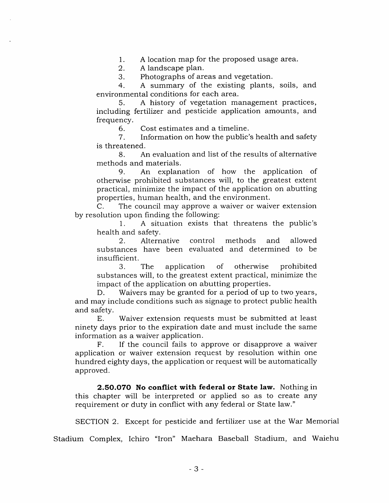A location map for the proposed usage area. 1.

A landscape plan. 2.

Photographs of areas and vegetation. 3.

A summary of the existing plants, soils, and environmental conditions for each area. 4.

A history of vegetation management practices, including fertilizer and pesticide application amounts, and frequency. 5.

Cost estimates and a timeline. 6.

Information on how the public's health and safety 7. is threatened.

8. An evaluation and list of the results of alternative methods and materials.

An explanation of how the application of otherwise prohibited substances will, to the greatest extent practical, minimize the impact of the application on abutting properties, human health, and the environment.  $\mathbf{Q}$ 

The council may approve a waiver or waiver extension by resolution upon finding the following: C.

A situation exists that threatens the public's 1. health and safety.<br>2. Altern

Alternative control methods and allowed substances have been evaluated and determined to be insufficient.

3. The application of otherwise prohibited substances will, to the greatest extent practical, minimize the impact of the application on abutting properties.<br>D. Waivers may be granted for a period of up

Waivers may be granted for a period of up to two years, and may include conditions such as signage to protect public health and safety.

Waiver extension requests must be submitted at least ninety days prior to the expiration date and must include the same information as a waiver application. E.

If the council fails to approve or disapprove a waiver application or waiver extension request by resolution within one hundred eighty days, the application or request will be automatically approved. F.

2.50.070 No conflict with federal or State law. Nothing in this chapter will be interpreted or applied so as to create any requirement or duty in conflict with any federal or State law."

SECTION 2. Except for pesticide and fertilizer use at the War Memorial

Stadium Complex, Ichiro "Iron' Maehara Baseball Stadium, and Waiehu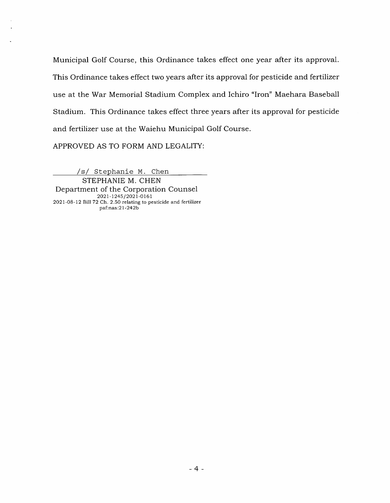Municipal Golf Course, this Ordinance takes effect one year after its approval. This Ordinance takes effect two years after its approval for pesticide and fertilizer use at the War Memorial Stadium Complex and Ichiro "Iron" Maehara Baseball Stadium. This Ordinance takes effect three years after its approval for pesticide and fertilizer use at the Waiehu Municipal Golf Course.

APPROVED AS TO FORM AND LEGALITY:

/s/ Stephanie M. Chen

STEPHANIE M. CHEN Department of the Corporation Counsel 2021-1245/2021-0161 2021-08-12 Bill 72 Ch. 2.50 relating to pesticide and fertilizer paf:nas:21-242b